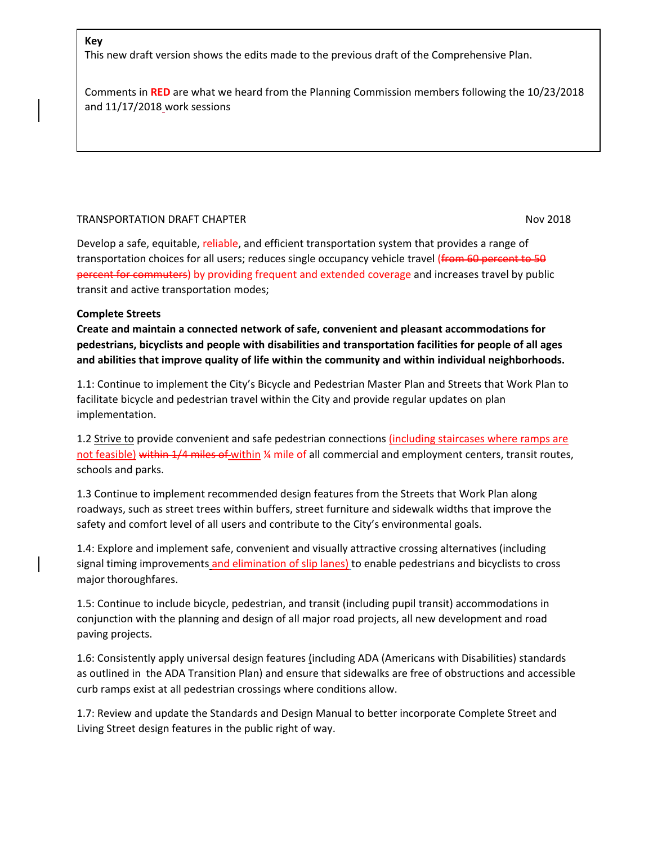#### **Key**

This new draft version shows the edits made to the previous draft of the Comprehensive Plan.

Comments in **RED** are what we heard from the Planning Commission members following the 10/23/2018 and 11/17/2018 work sessions

#### TRANSPORTATION DRAFT CHAPTER NOV 2018

Develop a safe, equitable, reliable, and efficient transportation system that provides a range of transportation choices for all users; reduces single occupancy vehicle travel (from 60 percent to 50 percent for commuters) by providing frequent and extended coverage and increases travel by public transit and active transportation modes;

#### **Complete Streets**

**Create and maintain a connected network of safe, convenient and pleasant accommodations for pedestrians, bicyclists and people with disabilities and transportation facilities for people of all ages and abilities that improve quality of life within the community and within individual neighborhoods.**

1.1: Continue to implement the City's Bicycle and Pedestrian Master Plan and Streets that Work Plan to facilitate bicycle and pedestrian travel within the City and provide regular updates on plan implementation.

1.2 Strive to provide convenient and safe pedestrian connections (including staircases where ramps are not feasible) within 1/4 miles of within ¼ mile of all commercial and employment centers, transit routes, schools and parks.

1.3 Continue to implement recommended design features from the Streets that Work Plan along roadways, such as street trees within buffers, street furniture and sidewalk widths that improve the safety and comfort level of all users and contribute to the City's environmental goals.

1.4: Explore and implement safe, convenient and visually attractive crossing alternatives (including signal timing improvements and elimination of slip lanes) to enable pedestrians and bicyclists to cross major thoroughfares.

1.5: Continue to include bicycle, pedestrian, and transit (including pupil transit) accommodations in conjunction with the planning and design of all major road projects, all new development and road paving projects.

1.6: Consistently apply universal design features (including ADA (Americans with Disabilities) standards as outlined in the ADA Transition Plan) and ensure that sidewalks are free of obstructions and accessible curb ramps exist at all pedestrian crossings where conditions allow.

1.7: Review and update the Standards and Design Manual to better incorporate Complete Street and Living Street design features in the public right of way.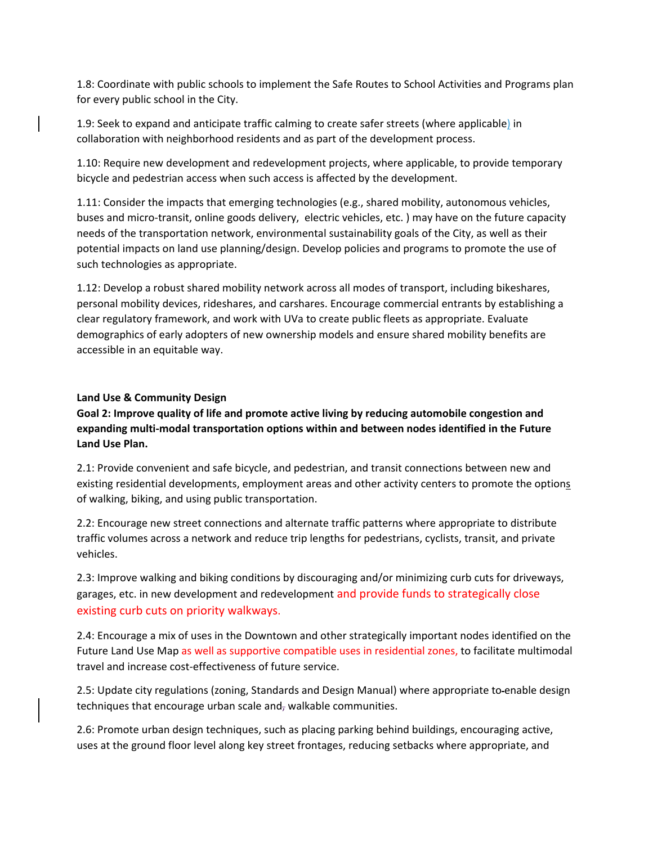1.8: Coordinate with public schools to implement the Safe Routes to School Activities and Programs plan for every public school in the City.

1.9: Seek to expand and anticipate traffic calming to create safer streets (where applicable) in collaboration with neighborhood residents and as part of the development process.

1.10: Require new development and redevelopment projects, where applicable, to provide temporary bicycle and pedestrian access when such access is affected by the development.

1.11: Consider the impacts that emerging technologies (e.g., shared mobility, autonomous vehicles, buses and micro-transit, online goods delivery, electric vehicles, etc. ) may have on the future capacity needs of the transportation network, environmental sustainability goals of the City, as well as their potential impacts on land use planning/design. Develop policies and programs to promote the use of such technologies as appropriate.

1.12: Develop a robust shared mobility network across all modes of transport, including bikeshares, personal mobility devices, rideshares, and carshares. Encourage commercial entrants by establishing a clear regulatory framework, and work with UVa to create public fleets as appropriate. Evaluate demographics of early adopters of new ownership models and ensure shared mobility benefits are accessible in an equitable way.

# **Land Use & Community Design**

**Goal 2: Improve quality of life and promote active living by reducing automobile congestion and expanding multi-modal transportation options within and between nodes identified in the Future Land Use Plan.**

2.1: Provide convenient and safe bicycle, and pedestrian, and transit connections between new and existing residential developments, employment areas and other activity centers to promote the options of walking, biking, and using public transportation.

2.2: Encourage new street connections and alternate traffic patterns where appropriate to distribute traffic volumes across a network and reduce trip lengths for pedestrians, cyclists, transit, and private vehicles.

2.3: Improve walking and biking conditions by discouraging and/or minimizing curb cuts for driveways, garages, etc. in new development and redevelopment and provide funds to strategically close existing curb cuts on priority walkways.

2.4: Encourage a mix of uses in the Downtown and other strategically important nodes identified on the Future Land Use Map as well as supportive compatible uses in residential zones, to facilitate multimodal travel and increase cost-effectiveness of future service.

2.5: Update city regulations (zoning, Standards and Design Manual) where appropriate to enable design techniques that encourage urban scale and, walkable communities.

2.6: Promote urban design techniques, such as placing parking behind buildings, encouraging active, uses at the ground floor level along key street frontages, reducing setbacks where appropriate, and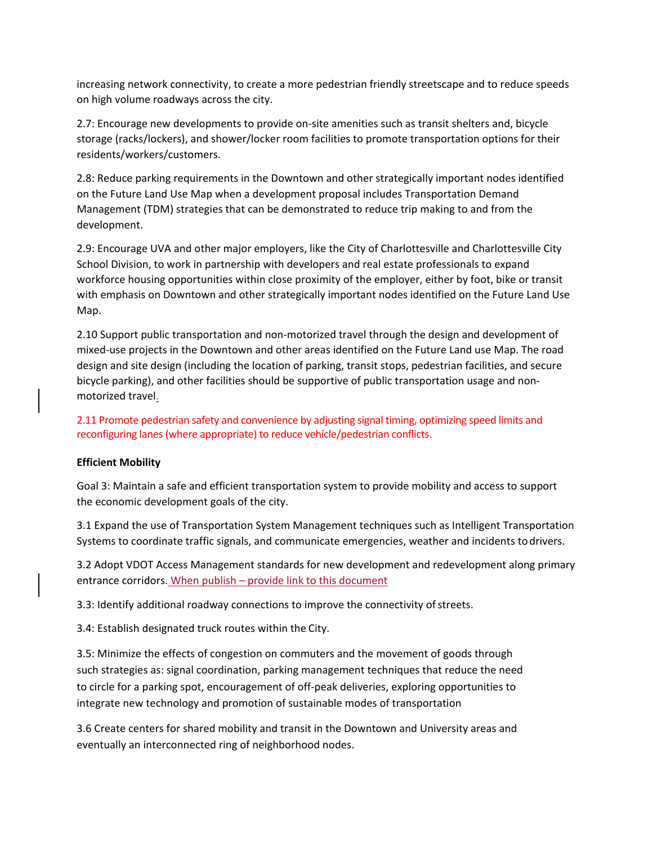increasing network connectivity, to create a more pedestrian friendly streetscape and to reduce speeds on high volume roadways across the city.

2.7: Encourage new developments to provide on-site amenities such as transit shelters and, bicycle storage (racks/lockers), and shower/locker room facilities to promote transportation options for their residents/workers/customers.

2.8: Reduce parking requirements in the Downtown and other strategically important nodes identified on the Future Land Use Map when a development proposal includes Transportation Demand Management (TDM) strategies that can be demonstrated to reduce trip making to and from the development.

2.9: Encourage UVA and other major employers, like the City of Charlottesville and Charlottesville City School Division, to work in partnership with developers and real estate professionals to expand workforce housing opportunities within close proximity of the employer, either by foot, bike or transit with emphasis on Downtown and other strategically important nodes identified on the Future Land Use Map.

2.10 Support public transportation and non-motorized travel through the design and development of mixed-use projects in the Downtown and other areas identified on the Future Land use Map. The road design and site design (including the location of parking, transit stops, pedestrian facilities, and secure bicycle parking), and other facilities should be supportive of public transportation usage and nonmotorized travel.

2.11 Promote pedestrian safety and convenience by adjusting signal timing, optimizing speed limits and reconfiguring lanes (where appropriate) to reduce vehicle/pedestrian conflicts.

## **Efficient Mobility**

Goal 3: Maintain a safe and efficient transportation system to provide mobility and access to support the economic development goals of the city.

3.1 Expand the use of Transportation System Management techniques such as Intelligent Transportation Systems to coordinate traffic signals, and communicate emergencies, weather and incidents todrivers.

3.2 Adopt VDOT Access Management standards for new development and redevelopment along primary entrance corridors. When publish – provide link to this document

3.3: Identify additional roadway connections to improve the connectivity of streets.

3.4: Establish designated truck routes within the City.

3.5: Minimize the effects of congestion on commuters and the movement of goods through such strategies as: signal coordination, parking management techniques that reduce the need to circle for a parking spot, encouragement of off-peak deliveries, exploring opportunities to integrate new technology and promotion of sustainable modes of transportation

3.6 Create centers for shared mobility and transit in the Downtown and University areas and eventually an interconnected ring of neighborhood nodes.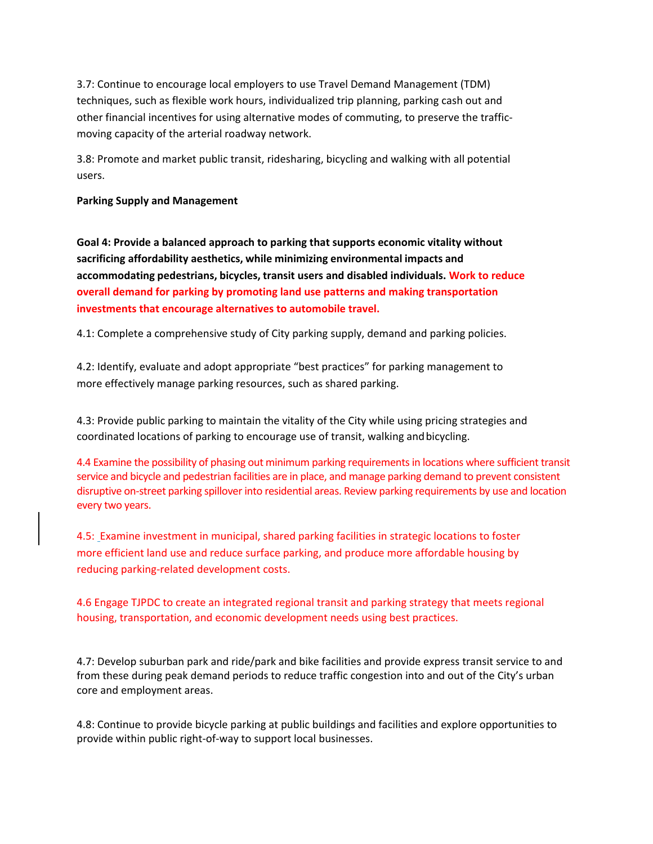3.7: Continue to encourage local employers to use Travel Demand Management (TDM) techniques, such as flexible work hours, individualized trip planning, parking cash out and other financial incentives for using alternative modes of commuting, to preserve the trafficmoving capacity of the arterial roadway network.

3.8: Promote and market public transit, ridesharing, bicycling and walking with all potential users.

#### **Parking Supply and Management**

**Goal 4: Provide a balanced approach to parking that supports economic vitality without sacrificing affordability aesthetics, while minimizing environmental impacts and accommodating pedestrians, bicycles, transit users and disabled individuals. Work to reduce overall demand for parking by promoting land use patterns and making transportation investments that encourage alternatives to automobile travel.**

4.1: Complete a comprehensive study of City parking supply, demand and parking policies.

4.2: Identify, evaluate and adopt appropriate "best practices" for parking management to more effectively manage parking resources, such as shared parking.

4.3: Provide public parking to maintain the vitality of the City while using pricing strategies and coordinated locations of parking to encourage use of transit, walking andbicycling.

4.4 Examine the possibility of phasing out minimum parking requirements in locations where sufficient transit service and bicycle and pedestrian facilities are in place, and manage parking demand to prevent consistent disruptive on-street parking spillover into residential areas. Review parking requirements by use and location every two years.

4.5: Examine investment in municipal, shared parking facilities in strategic locations to foster more efficient land use and reduce surface parking, and produce more affordable housing by reducing parking-related development costs.

4.6 Engage TJPDC to create an integrated regional transit and parking strategy that meets regional housing, transportation, and economic development needs using best practices.

4.7: Develop suburban park and ride/park and bike facilities and provide express transit service to and from these during peak demand periods to reduce traffic congestion into and out of the City's urban core and employment areas.

4.8: Continue to provide bicycle parking at public buildings and facilities and explore opportunities to provide within public right-of-way to support local businesses.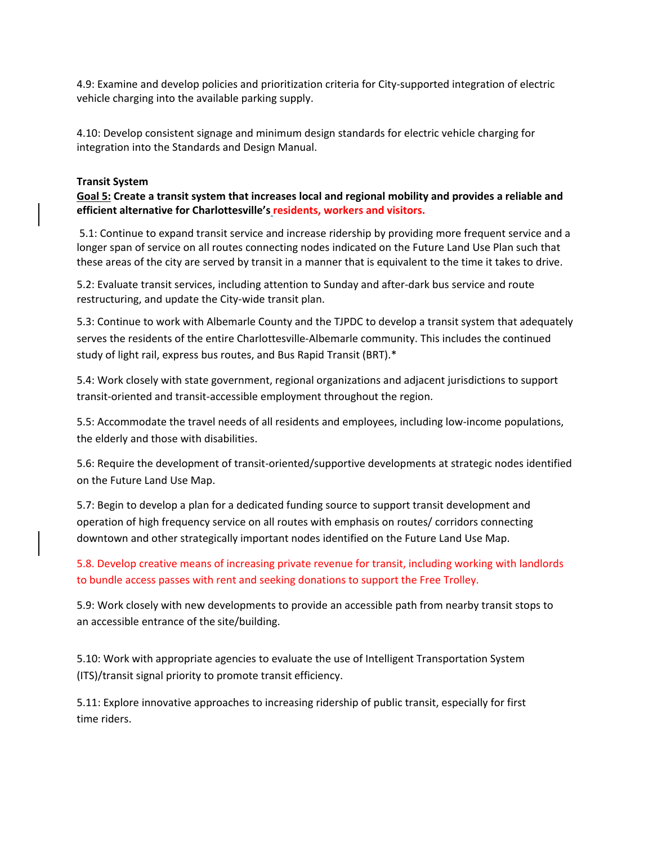4.9: Examine and develop policies and prioritization criteria for City-supported integration of electric vehicle charging into the available parking supply.

4.10: Develop consistent signage and minimum design standards for electric vehicle charging for integration into the Standards and Design Manual.

#### **Transit System**

**Goal 5: Create a transit system that increases local and regional mobility and provides a reliable and efficient alternative for Charlottesville's residents, workers and visitors.** 

5.1: Continue to expand transit service and increase ridership by providing more frequent service and a longer span of service on all routes connecting nodes indicated on the Future Land Use Plan such that these areas of the city are served by transit in a manner that is equivalent to the time it takes to drive.

5.2: Evaluate transit services, including attention to Sunday and after-dark bus service and route restructuring, and update the City-wide transit plan.

5.3: Continue to work with Albemarle County and the TJPDC to develop a transit system that adequately serves the residents of the entire Charlottesville-Albemarle community. This includes the continued study of light rail, express bus routes, and Bus Rapid Transit (BRT).\*

5.4: Work closely with state government, regional organizations and adjacent jurisdictions to support transit-oriented and transit-accessible employment throughout the region.

5.5: Accommodate the travel needs of all residents and employees, including low-income populations, the elderly and those with disabilities.

5.6: Require the development of transit-oriented/supportive developments at strategic nodes identified on the Future Land Use Map.

5.7: Begin to develop a plan for a dedicated funding source to support transit development and operation of high frequency service on all routes with emphasis on routes/ corridors connecting downtown and other strategically important nodes identified on the Future Land Use Map.

5.8. Develop creative means of increasing private revenue for transit, including working with landlords to bundle access passes with rent and seeking donations to support the Free Trolley.

5.9: Work closely with new developments to provide an accessible path from nearby transit stops to an accessible entrance of the site/building.

5.10: Work with appropriate agencies to evaluate the use of Intelligent Transportation System (ITS)/transit signal priority to promote transit efficiency.

5.11: Explore innovative approaches to increasing ridership of public transit, especially for first time riders.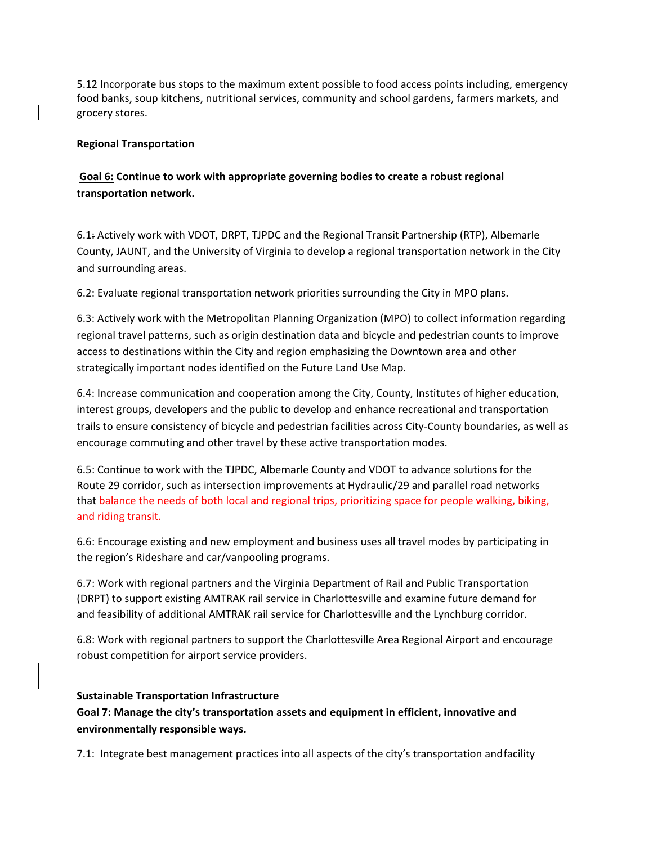5.12 Incorporate bus stops to the maximum extent possible to food access points including, emergency food banks, soup kitchens, nutritional services, community and school gardens, farmers markets, and grocery stores.

# **Regional Transportation**

# **Goal 6: Continue to work with appropriate governing bodies to create a robust regional transportation network.**

6.1: Actively work with VDOT, DRPT, TJPDC and the Regional Transit Partnership (RTP), Albemarle County, JAUNT, and the University of Virginia to develop a regional transportation network in the City and surrounding areas.

6.2: Evaluate regional transportation network priorities surrounding the City in MPO plans.

6.3: Actively work with the Metropolitan Planning Organization (MPO) to collect information regarding regional travel patterns, such as origin destination data and bicycle and pedestrian counts to improve access to destinations within the City and region emphasizing the Downtown area and other strategically important nodes identified on the Future Land Use Map.

6.4: Increase communication and cooperation among the City, County, Institutes of higher education, interest groups, developers and the public to develop and enhance recreational and transportation trails to ensure consistency of bicycle and pedestrian facilities across City-County boundaries, as well as encourage commuting and other travel by these active transportation modes.

6.5: Continue to work with the TJPDC, Albemarle County and VDOT to advance solutions for the Route 29 corridor, such as intersection improvements at Hydraulic/29 and parallel road networks that balance the needs of both local and regional trips, prioritizing space for people walking, biking, and riding transit.

6.6: Encourage existing and new employment and business uses all travel modes by participating in the region's Rideshare and car/vanpooling programs.

6.7: Work with regional partners and the Virginia Department of Rail and Public Transportation (DRPT) to support existing AMTRAK rail service in Charlottesville and examine future demand for and feasibility of additional AMTRAK rail service for Charlottesville and the Lynchburg corridor.

6.8: Work with regional partners to support the Charlottesville Area Regional Airport and encourage robust competition for airport service providers.

## **Sustainable Transportation Infrastructure**

**Goal 7: Manage the city's transportation assets and equipment in efficient, innovative and environmentally responsible ways.**

7.1: Integrate best management practices into all aspects of the city's transportation andfacility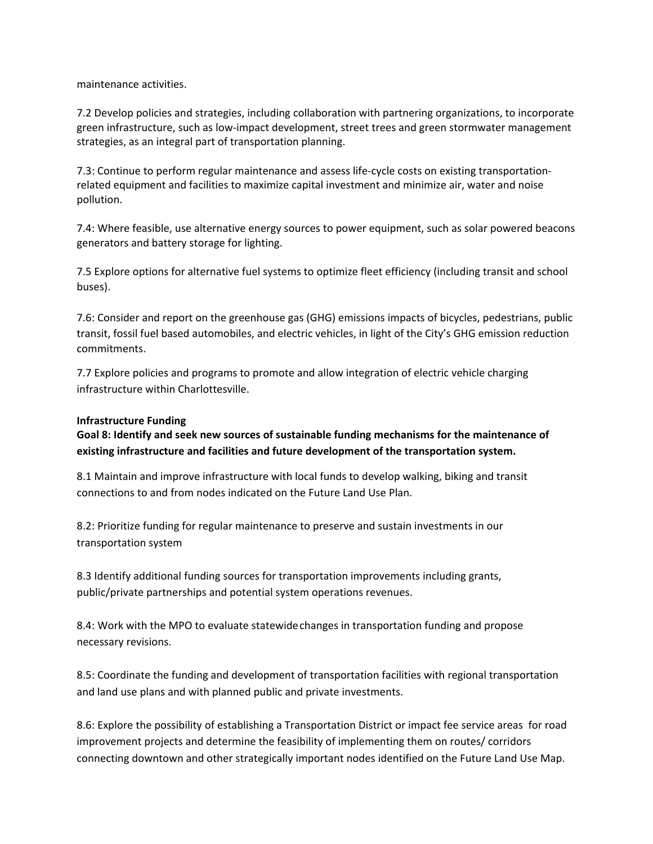maintenance activities.

7.2 Develop policies and strategies, including collaboration with partnering organizations, to incorporate green infrastructure, such as low-impact development, street trees and green stormwater management strategies, as an integral part of transportation planning.

7.3: Continue to perform regular maintenance and assess life-cycle costs on existing transportationrelated equipment and facilities to maximize capital investment and minimize air, water and noise pollution.

7.4: Where feasible, use alternative energy sources to power equipment, such as solar powered beacons generators and battery storage for lighting.

7.5 Explore options for alternative fuel systems to optimize fleet efficiency (including transit and school buses).

7.6: Consider and report on the greenhouse gas (GHG) emissions impacts of bicycles, pedestrians, public transit, fossil fuel based automobiles, and electric vehicles, in light of the City's GHG emission reduction commitments.

7.7 Explore policies and programs to promote and allow integration of electric vehicle charging infrastructure within Charlottesville.

## **Infrastructure Funding**

**Goal 8: Identify and seek new sources of sustainable funding mechanisms for the maintenance of existing infrastructure and facilities and future development of the transportation system.**

8.1 Maintain and improve infrastructure with local funds to develop walking, biking and transit connections to and from nodes indicated on the Future Land Use Plan.

8.2: Prioritize funding for regular maintenance to preserve and sustain investments in our transportation system

8.3 Identify additional funding sources for transportation improvements including grants, public/private partnerships and potential system operations revenues.

8.4: Work with the MPO to evaluate statewidechanges in transportation funding and propose necessary revisions.

8.5: Coordinate the funding and development of transportation facilities with regional transportation and land use plans and with planned public and private investments.

8.6: Explore the possibility of establishing a Transportation District or impact fee service areas for road improvement projects and determine the feasibility of implementing them on routes/ corridors connecting downtown and other strategically important nodes identified on the Future Land Use Map.